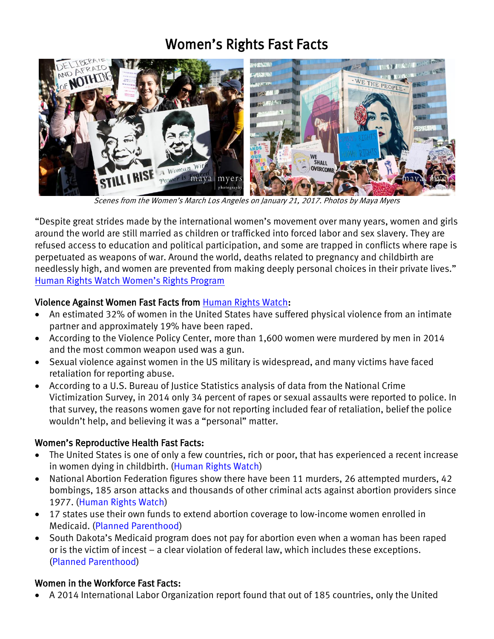# Women's Rights Fast Facts



Scenes from the Women's March Los Angeles on January 21, 2017. Photos by Maya Myers

"Despite great strides made by the international women's movement over many years, women and girls around the world are still married as children or trafficked into forced labor and sex slavery. They are refused access to education and political participation, and some are trapped in conflicts where rape is perpetuated as weapons of war. Around the world, deaths related to pregnancy and childbirth are needlessly high, and women are prevented from making deeply personal choices in their private lives." [Human Rights Watch Women's Rights Program](https://www.hrw.org/topic/womens-rights)

### Violence Against Women Fast Facts from [Human Rights Watch:](https://www.hrw.org/news/2016/11/15/respect-women-trump-has-respect-their-rights)

- An [estimated 32% of women in the United States](http://www.cdc.gov/mmwr/preview/mmwrhtml/ss6308a1.htm?s_cid=ss6308a1_e) have suffered physical violence from an intimate partner and [approximately 19% have been raped.](http://www.cdc.gov/mmwr/preview/mmwrhtml/ss6308a1.htm?s_cid=ss6308a1_e)
- According to the [Violence Policy Center,](http://www.vpc.org/studies/wmmw2016.pdf) more than 1,600 women were murdered by men in 2014 and the most common weapon used was a gun.
- Sexual violence against women in the US military is widespread, and many victims have faced [retaliation](https://www.hrw.org/report/2016/05/19/booted/lack-recourse-wrongfully-discharged-us-military-rape-survivors) for reporting abuse.
- According to a [U.S. Bureau of Justice Statistics analysis](http://www.bjs.gov/content/pub/pdf/cv14.pdf) of data from the National Crime Victimization Survey, in 2014 only 34 percent of rapes or sexual assaults were reported to police. In that survey, the reasons women gave for not reporting included fear of retaliation, belief the police wouldn't help, and believing it was a "personal" matter.

#### Women's Reproductive Health Fast Facts:

- The United States is one of only a few countries, rich or poor, that has experienced a [recent increase](http://www.healthdata.org/presentation/maternal-and-child-mortality-united-states-findings-global-burden-disease-study)  [in women dying in childbirth.](http://www.healthdata.org/presentation/maternal-and-child-mortality-united-states-findings-global-burden-disease-study) [\(Human Rights Watch\)](https://www.hrw.org/news/2016/11/15/respect-women-trump-has-respect-their-rights)
- National Abortion Federation figures show there have [been 11 murders, 26 attempted murders, 42](http://prochoice.org/wp-content/uploads/2015-NAF-Violence-Disruption-Stats.pdf)  bombings, [185 arson attacks](http://prochoice.org/wp-content/uploads/2015-NAF-Violence-Disruption-Stats.pdf) and thousands of other criminal acts against abortion providers since 1977. [\(Human Rights Watch\)](https://www.hrw.org/news/2017/01/11/can-american-women-trust-senator-sessions)
- 17 states use their own funds to extend abortion coverage to low-income women enrolled in Medicaid. [\(Planned Parenthood\)](https://www.plannedparenthoodaction.org/issues/abortion/hyde-amendment)
- South Dakota's Medicaid program does not pay for abortion even when a woman has been raped or is the victim of incest – a clear violation of federal law, which includes these exceptions. [\(Planned Parenthood\)](https://www.plannedparenthoodaction.org/issues/abortion/hyde-amendment)

#### Women in the Workforce Fast Facts:

A 2014 International Labor Organization [report](http://www.ilo.org/wcmsp5/groups/public/---dgreports/---dcomm/---publ/documents/publication/wcms_242615.pdf) found that out of 185 countries, only the United